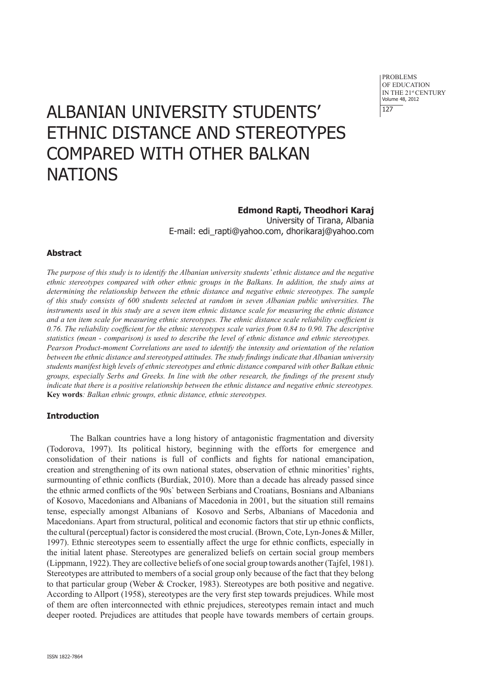# ALBANIAN UNIVERSITY STUDENTS' ETHNIC DISTANCE AND STEREOTYPES COMPARED WITH OTHER BALKAN **NATIONS**

# **Edmond Rapti, Theodhori Karaj**

University of Tirana, Albania E-mail: edi\_rapti@yahoo.com, dhorikaraj@yahoo.com

#### **Abstract**

*The purpose of this study is to identify the Albanian university students' ethnic distance and the negative ethnic stereotypes compared with other ethnic groups in the Balkans. In addition, the study aims at determining the relationship between the ethnic distance and negative ethnic stereotypes. The sample of this study consists of 600 students selected at random in seven Albanian public universities. The instruments used in this study are a seven item ethnic distance scale for measuring the ethnic distance and a ten item scale for measuring ethnic stereotypes. The ethnic distance scale reliability coefficient is 0.76. The reliability coefficient for the ethnic stereotypes scale varies from 0.84 to 0.90. The descriptive statistics (mean - comparison) is used to describe the level of ethnic distance and ethnic stereotypes... Pearson Product-moment Correlations are used to identify the intensity and orientation of the relation between the ethnic distance and stereotyped attitudes. The study findings indicate that Albanian university students manifest high levels of ethnic stereotypes and ethnic distance compared with other Balkan ethnic groups, especially Serbs and Greeks. In line with the other research, the findings of the present study indicate that there is a positive relationship between the ethnic distance and negative ethnic stereotypes.* **Key words***: Balkan ethnic groups, ethnic distance, ethnic stereotypes.* 

#### **Introduction**

The Balkan countries have a long history of antagonistic fragmentation and diversity (Todorova, 1997). Its political history, beginning with the efforts for emergence and consolidation of their nations is full of conflicts and fights for national emancipation, creation and strengthening of its own national states, observation of ethnic minorities' rights, surmounting of ethnic conflicts (Burdiak, 2010). More than a decade has already passed since the ethnic armed conflicts of the 90s` between Serbians and Croatians, Bosnians and Albanians of Kosovo, Macedonians and Albanians of Macedonia in 2001, but the situation still remains tense, especially amongst Albanians of Kosovo and Serbs, Albanians of Macedonia and Macedonians. Apart from structural, political and economic factors that stir up ethnic conflicts, the cultural (perceptual) factor is considered the most crucial. (Brown, Cote, Lyn-Jones & Miller, 1997). Ethnic stereotypes seem to essentially affect the urge for ethnic conflicts, especially in the initial latent phase. Stereotypes are generalized beliefs on certain social group members (Lippmann, 1922). They are collective beliefs of one social group towards another (Tajfel, 1981). Stereotypes are attributed to members of a social group only because of the fact that they belong to that particular group (Weber & Crocker, 1983). Stereotypes are both positive and negative. According to Allport (1958), stereotypes are the very first step towards prejudices. While most of them are often interconnected with ethnic prejudices, stereotypes remain intact and much deeper rooted. Prejudices are attitudes that people have towards members of certain groups.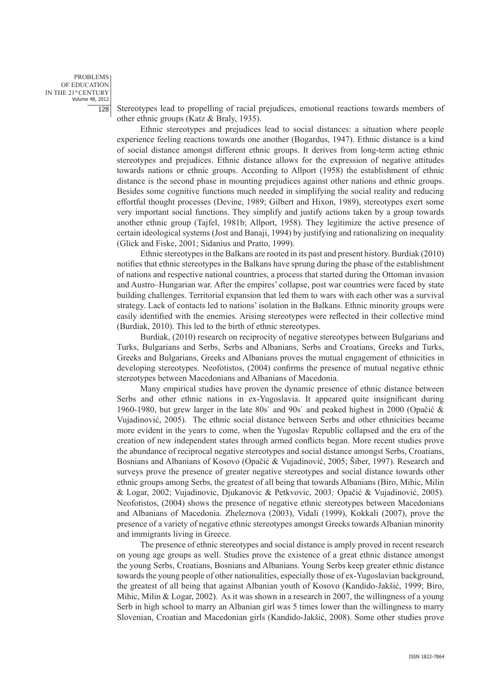Stereotypes lead to propelling of racial prejudices, emotional reactions towards members of other ethnic groups (Katz & Braly, 1935).

Ethnic stereotypes and prejudices lead to social distances: a situation where people experience feeling reactions towards one another (Bogardus, 1947). Ethnic distance is a kind of social distance amongst different ethnic groups. It derives from long-term acting ethnic stereotypes and prejudices. Ethnic distance allows for the expression of negative attitudes towards nations or ethnic groups. According to Allport (1958) the establishment of ethnic distance is the second phase in mounting prejudices against other nations and ethnic groups. Besides some cognitive functions much needed in simplifying the social reality and reducing effortful thought processes (Devine, 1989; Gilbert and Hixon, 1989), stereotypes exert some very important social functions. They simplify and justify actions taken by a group towards another ethnic group (Tajfel, 1981b; Allport, 1958). They legitimize the active presence of certain ideological systems (Jost and Banaji, 1994) by justifying and rationalizing on inequality (Glick and Fiske, 2001; Sidanius and Pratto, 1999).

Ethnic stereotypes in the Balkans are rooted in its past and present history. Burdiak (2010) notifies that ethnic stereotypes in the Balkans have sprung during the phase of the establishment of nations and respective national countries, a process that started during the Ottoman invasion and Austro–Hungarian war. After the empires' collapse, post war countries were faced by state building challenges. Territorial expansion that led them to wars with each other was a survival strategy. Lack of contacts led to nations' isolation in the Balkans. Ethnic minority groups were easily identified with the enemies. Arising stereotypes were reflected in their collective mind (Burdiak, 2010). This led to the birth of ethnic stereotypes.

Burdiak, (2010) research on reciprocity of negative stereotypes between Bulgarians and Turks, Bulgarians and Serbs, Serbs and Albanians, Serbs and Croatians, Greeks and Turks, Greeks and Bulgarians, Greeks and Albanians proves the mutual engagement of ethnicities in developing stereotypes. Neofotistos, (2004) confirms the presence of mutual negative ethnic stereotypes between Macedonians and Albanians of Macedonia.

Many empirical studies have proven the dynamic presence of ethnic distance between Serbs and other ethnic nations in ex-Yugoslavia. It appeared quite insignificant during 1960-1980, but grew larger in the late 80s' and 90s' and peaked highest in 2000 (Opačić  $\&$ Vujadinović, 2005). The ethnic social distance between Serbs and other ethnicities became more evident in the years to come, when the Yugoslav Republic collapsed and the era of the creation of new independent states through armed conflicts began. More recent studies prove the abundance of reciprocal negative stereotypes and social distance amongst Serbs, Croatians, Bosnians and Albanians of Kosovo (Opačić & Vujadinović, 2005; Šiber, 1997). Research and surveys prove the presence of greater negative stereotypes and social distance towards other ethnic groups among Serbs, the greatest of all being that towards Albanians (Biro, Mihic, Milin & Logar, 2002; Vujadinovic, Djukanovic & Petkvovic, 2003*;* Opačić & Vujadinović, 2005). Neofotistos, (2004) shows the presence of negative ethnic stereotypes between Macedonians and Albanians of Macedonia. Zheleznova (2003), Vidali (1999), Kokkali (2007), prove the presence of a variety of negative ethnic stereotypes amongst Greeks towards Albanian minority and immigrants living in Greece.

The presence of ethnic stereotypes and social distance is amply proved in recent research on young age groups as well. Studies prove the existence of a great ethnic distance amongst the young Serbs, Croatians, Bosnians and Albanians. Young Serbs keep greater ethnic distance towards the young people of other nationalities, especially those of ex-Yugoslavian background, the greatest of all being that against Albanian youth of Kosovo (Kandido-Jakšić, 1999; Biro, Mihic, Milin & Logar, 2002). As it was shown in a research in 2007, the willingness of a young Serb in high school to marry an Albanian girl was 5 times lower than the willingness to marry Slovenian, Croatian and Macedonian girls (Kandido-Jakšić, 2008). Some other studies prove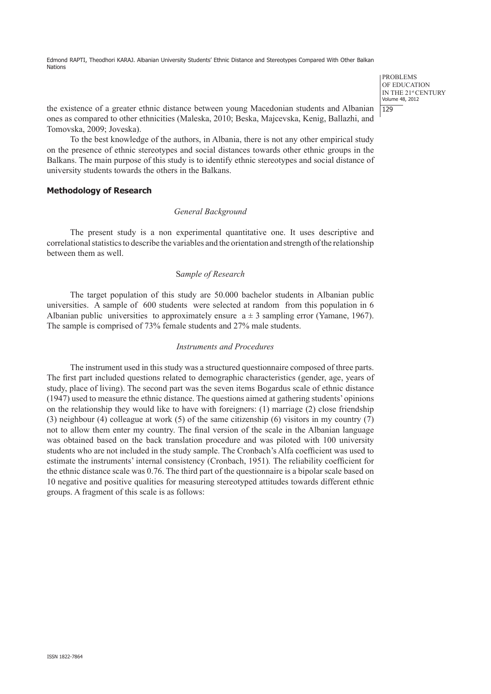Edmond RAPTI, Theodhori KARAJ. Albanian University Students' Ethnic Distance and Stereotypes Compared With Other Balkan Nations

> PROBLEMS OF EDUCATION IN THE 21st CENTURY Volume 48, 2012  $1129$

the existence of a greater ethnic distance between young Macedonian students and Albanian ones as compared to other ethnicities (Maleska, 2010; Beska, Majcevska, Kenig, Ballazhi, and Tomovska, 2009; Joveska).

To the best knowledge of the authors, in Albania, there is not any other empirical study on the presence of ethnic stereotypes and social distances towards other ethnic groups in the Balkans. The main purpose of this study is to identify ethnic stereotypes and social distance of university students towards the others in the Balkans.

## **Methodology of Research**

## *General Background*

The present study is a non experimental quantitative one. It uses descriptive and correlational statistics to describe the variables and the orientation and strength of the relationship between them as well.

## S*ample of Research*

The target population of this study are 50.000 bachelor students in Albanian public universities. A sample of 600 students were selected at random from this population in 6 Albanian public universities to approximately ensure  $a \pm 3$  sampling error (Yamane, 1967). The sample is comprised of 73% female students and 27% male students.

#### *Instruments and Procedures*

The instrument used in this study was a structured questionnaire composed of three parts. The first part included questions related to demographic characteristics (gender, age, years of study, place of living). The second part was the seven items Bogardus scale of ethnic distance (1947) used to measure the ethnic distance. The questions aimed at gathering students' opinions on the relationship they would like to have with foreigners: (1) marriage (2) close friendship (3) neighbour (4) colleague at work (5) of the same citizenship (6) visitors in my country (7) not to allow them enter my country. The final version of the scale in the Albanian language was obtained based on the back translation procedure and was piloted with 100 university students who are not included in the study sample. The Cronbach's Alfa coefficient was used to estimate the instruments' internal consistency (Cronbach, 1951)*.* The reliability coefficient for the ethnic distance scale was 0.76. The third part of the questionnaire is a bipolar scale based on 10 negative and positive qualities for measuring stereotyped attitudes towards different ethnic groups. A fragment of this scale is as follows: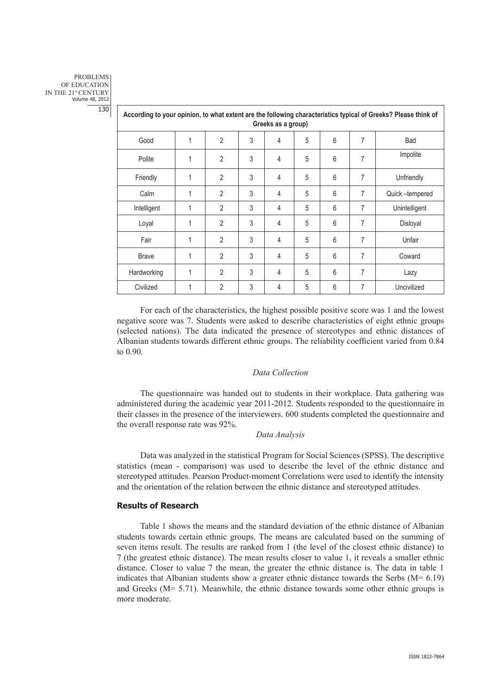| According to your opinion, to what extent are the following characteristics typical of Greeks? Please think of<br>Greeks as a group) |   |                |   |   |   |   |   |                |
|--------------------------------------------------------------------------------------------------------------------------------------|---|----------------|---|---|---|---|---|----------------|
| Good                                                                                                                                 | 1 | $\overline{2}$ | 3 | 4 | 5 | 6 | 7 | Bad            |
| Polite                                                                                                                               | 1 | $\overline{2}$ | 3 | 4 | 5 | 6 | 7 | Impolite       |
| Friendly                                                                                                                             | 1 | $\overline{2}$ | 3 | 4 | 5 | 6 | 7 | Unfriendly     |
| Calm                                                                                                                                 | 1 | $\overline{2}$ | 3 | 4 | 5 | 6 | 7 | Quick-tempered |
| Intelligent                                                                                                                          | 1 | $\overline{2}$ | 3 | 4 | 5 | 6 | 7 | Unintelligent  |
| Loyal                                                                                                                                | 1 | $\overline{2}$ | 3 | 4 | 5 | 6 | 7 | Disloyal       |
| Fair                                                                                                                                 | 1 | $\overline{2}$ | 3 | 4 | 5 | 6 | 7 | Unfair         |
| <b>Brave</b>                                                                                                                         | 1 | $\overline{2}$ | 3 | 4 | 5 | 6 | 7 | Coward         |
| Hardworking                                                                                                                          | 1 | $\overline{2}$ | 3 | 4 | 5 | 6 | 7 | Lazy           |
| Civilized                                                                                                                            | 1 | $\overline{2}$ | 3 | 4 | 5 | 6 | 7 | Uncivilized    |

For each of the characteristics, the highest possible positive score was 1 and the lowest negative score was 7. Students were asked to describe characteristics of eight ethnic groups (selected nations). The data indicated the presence of stereotypes and ethnic distances of Albanian students towards different ethnic groups. The reliability coefficient varied from 0.84 to 0.90.

#### *Data Collection*

The questionnaire was handed out to students in their workplace. Data gathering was administered during the academic year 2011-2012. Students responded to the questionnaire in their classes in the presence of the interviewers. 600 students completed the questionnaire and the overall response rate was 92%.

#### *Data Analysis*

Data was analyzed in the statistical Program for Social Sciences (SPSS). The descriptive statistics (mean - comparison) was used to describe the level of the ethnic distance and stereotyped attitudes. Pearson Product-moment Correlations were used to identify the intensity and the orientation of the relation between the ethnic distance and stereotyped attitudes.

## **Results of Research**

Table 1 shows the means and the standard deviation of the ethnic distance of Albanian students towards certain ethnic groups. The means are calculated based on the summing of seven items result. The results are ranked from 1 (the level of the closest ethnic distance) to 7 (the greatest ethnic distance). The mean results closer to value 1, it reveals a smaller ethnic distance. Closer to value 7 the mean, the greater the ethnic distance is. The data in table 1 indicates that Albanian students show a greater ethnic distance towards the Serbs  $(M= 6.19)$ and Greeks  $(M= 5.71)$ . Meanwhile, the ethnic distance towards some other ethnic groups is more moderate.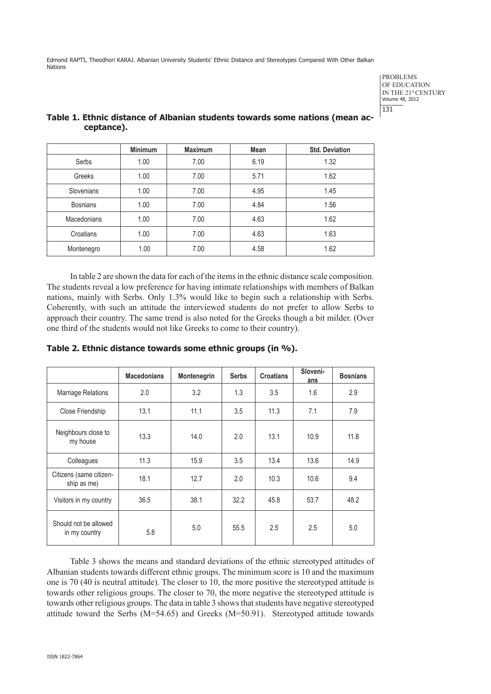Edmond RAPTI, Theodhori KARAJ. Albanian University Students' Ethnic Distance and Stereotypes Compared With Other Balkan Nations

> PROBLEMS OF EDUCATION IN THE 21st CENTURY Volume 48, 2012 131

| ccpcance,       |                |                |             |                       |  |
|-----------------|----------------|----------------|-------------|-----------------------|--|
|                 | <b>Minimum</b> | <b>Maximum</b> | <b>Mean</b> | <b>Std. Deviation</b> |  |
| Serbs           | 1.00           | 7.00           | 6.19        | 1.32                  |  |
| Greeks          | 1.00           | 7.00           | 5.71        | 1.62                  |  |
| Slovenians      | 1.00           | 7.00           | 4.95        | 1.45                  |  |
| <b>Bosnians</b> | 1.00           | 7.00           | 4.84        | 1.56                  |  |

Macedonians | 1.00 | 7.00 | 4.63 | 1.62 Croatians 1.00 7.00 4.63 1.63 Montenegro 1.00 7.00 4.58 1.62

# **Table 1. Ethnic distance of Albanian students towards some nations (mean acceptance).**

In table 2 are shown the data for each of the items in the ethnic distance scale composition. The students reveal a low preference for having intimate relationships with members of Balkan nations, mainly with Serbs. Only 1.3% would like to begin such a relationship with Serbs. Coherently, with such an attitude the interviewed students do not prefer to allow Serbs to approach their country. The same trend is also noted for the Greeks though a bit milder. (Over one third of the students would not like Greeks to come to their country).

|                                        | <b>Macedonians</b> | Montenegrin | <b>Serbs</b> | <b>Croatians</b> | Sloveni-<br>ans | <b>Bosnians</b> |
|----------------------------------------|--------------------|-------------|--------------|------------------|-----------------|-----------------|
| <b>Marriage Relations</b>              | 2.0                | 3.2         | 1.3          | 3.5              | 1.6             | 2.9             |
| Close Friendship                       | 13.1               | 11.1        | 3.5          | 11.3             | 7.1             | 7.9             |
| Neighbours close to<br>my house        | 13.3               | 14.0        | 2.0          | 13.1             | 10.9            | 11.8            |
| Colleagues                             | 11.3               | 15.9        | 3.5          | 13.4             | 13.6            | 14.9            |
| Citizens (same citizen-<br>ship as me) | 18.1               | 12.7        | 2.0          | 10.3             | 10.6            | 9.4             |
| Visitors in my country                 | 36.5               | 38.1        | 32.2         | 45.8             | 53.7            | 48.2            |
| Should not be allowed<br>in my country | 5.8                | 5.0         | 55.5         | 2.5              | 2.5             | 5.0             |

**Table 2. Ethnic distance towards some ethnic groups (in %).** 

Table 3 shows the means and standard deviations of the ethnic stereotyped attitudes of Albanian students towards different ethnic groups. The minimum score is 10 and the maximum one is 70 (40 is neutral attitude). The closer to 10, the more positive the stereotyped attitude is towards other religious groups. The closer to 70, the more negative the stereotyped attitude is towards other religious groups. The data in table 3 shows that students have negative stereotyped attitude toward the Serbs  $(M=54.65)$  and Greeks  $(M=50.91)$ . Stereotyped attitude towards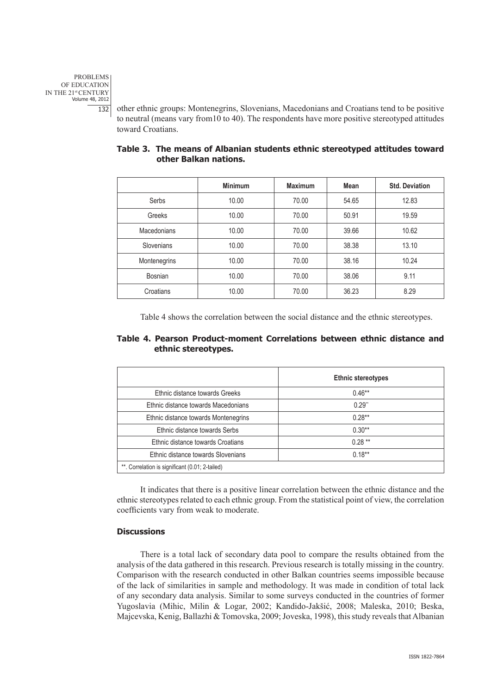other ethnic groups: Montenegrins, Slovenians, Macedonians and Croatians tend to be positive to neutral (means vary from10 to 40). The respondents have more positive stereotyped attitudes toward Croatians.

|              | <b>Minimum</b> | <b>Maximum</b> | Mean  | <b>Std. Deviation</b> |
|--------------|----------------|----------------|-------|-----------------------|
| Serbs        | 10.00          | 70.00          | 54.65 | 12.83                 |
| Greeks       | 10.00          | 70.00          | 50.91 | 19.59                 |
| Macedonians  | 10.00          | 70.00          | 39.66 | 10.62                 |
| Slovenians   | 10.00          | 70.00          | 38.38 | 13.10                 |
| Montenegrins | 10.00          | 70.00          | 38.16 | 10.24                 |
| Bosnian      | 10.00          | 70.00          | 38.06 | 9.11                  |
| Croatians    | 10.00          | 70.00          | 36.23 | 8.29                  |

## **Table 3. The means of Albanian students ethnic stereotyped attitudes toward other Balkan nations.**

Table 4 shows the correlation between the social distance and the ethnic stereotypes.

# **Table 4. Pearson Product-moment Correlations between ethnic distance and ethnic stereotypes.**

|                                                 | <b>Ethnic stereotypes</b> |  |  |
|-------------------------------------------------|---------------------------|--|--|
| Ethnic distance towards Greeks                  | $0.46**$                  |  |  |
| Ethnic distance towards Macedonians             | $0.29$ <sup>**</sup>      |  |  |
| Ethnic distance towards Montenegrins            | $0.28**$                  |  |  |
| Ethnic distance towards Serbs                   | $0.30**$                  |  |  |
| Ethnic distance towards Croatians               | $0.28***$                 |  |  |
| Ethnic distance towards Slovenians              | $0.18**$                  |  |  |
| **. Correlation is significant (0.01; 2-tailed) |                           |  |  |

It indicates that there is a positive linear correlation between the ethnic distance and the ethnic stereotypes related to each ethnic group. From the statistical point of view, the correlation coefficients vary from weak to moderate.

# **Discussions**

There is a total lack of secondary data pool to compare the results obtained from the analysis of the data gathered in this research. Previous research is totally missing in the country. Comparison with the research conducted in other Balkan countries seems impossible because of the lack of similarities in sample and methodology. It was made in condition of total lack of any secondary data analysis. Similar to some surveys conducted in the countries of former Yugoslavia (Mihic, Milin & Logar, 2002; Kandido-Jakšić, 2008; Maleska, 2010; Beska, Majcevska, Kenig, Ballazhi & Tomovska, 2009; Joveska, 1998), this study reveals that Albanian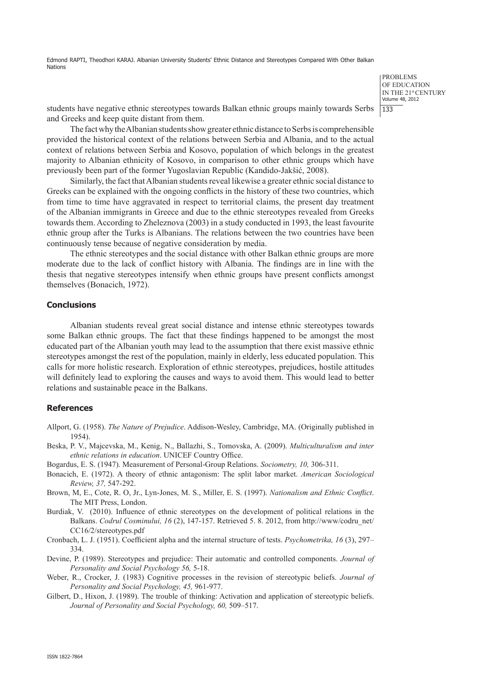Edmond RAPTI, Theodhori KARAJ. Albanian University Students' Ethnic Distance and Stereotypes Compared With Other Balkan Nations

> PROBLEMS OF EDUCATION IN THE 21st CENTURY Volume 48, 2012 133

students have negative ethnic stereotypes towards Balkan ethnic groups mainly towards Serbs and Greeks and keep quite distant from them.

The fact why the Albanian students show greater ethnic distance to Serbs is comprehensible provided the historical context of the relations between Serbia and Albania, and to the actual context of relations between Serbia and Kosovo, population of which belongs in the greatest majority to Albanian ethnicity of Kosovo, in comparison to other ethnic groups which have previously been part of the former Yugoslavian Republic (Kandido-Jakšić, 2008).

Similarly, the fact that Albanian students reveal likewise a greater ethnic social distance to Greeks can be explained with the ongoing conflicts in the history of these two countries, which from time to time have aggravated in respect to territorial claims, the present day treatment of the Albanian immigrants in Greece and due to the ethnic stereotypes revealed from Greeks towards them. According to Zheleznova (2003) in a study conducted in 1993, the least favourite ethnic group after the Turks is Albanians. The relations between the two countries have been continuously tense because of negative consideration by media.

The ethnic stereotypes and the social distance with other Balkan ethnic groups are more moderate due to the lack of conflict history with Albania. The findings are in line with the thesis that negative stereotypes intensify when ethnic groups have present conflicts amongst themselves (Bonacich, 1972).

## **Conclusions**

Albanian students reveal great social distance and intense ethnic stereotypes towards some Balkan ethnic groups. The fact that these findings happened to be amongst the most educated part of the Albanian youth may lead to the assumption that there exist massive ethnic stereotypes amongst the rest of the population, mainly in elderly, less educated population. This calls for more holistic research. Exploration of ethnic stereotypes, prejudices, hostile attitudes will definitely lead to exploring the causes and ways to avoid them. This would lead to better relations and sustainable peace in the Balkans.

#### **References**

- Allport, G. (1958). *The Nature of Prejudice*. Addison-Wesley, Cambridge, MA. (Originally published in 1954).
- Beska, P. V., Majcevska, M., Kenig, N., Ballazhi, S., Tomovska, A. (2009). *Multiculturalism and inter ethnic relations in education*. UNICEF Country Office.
- Bogardus, E. S. (1947). Measurement of Personal-Group Relations. *Sociometry, 10,* 306-311.
- Bonacich, E. (1972). A theory of ethnic antagonism: The split labor market. *American Sociological Review, 37,* 547-292.
- Brown, M, E., Cote, R. O, Jr., Lyn-Jones, M. S., Miller, E. S. (1997). *Nationalism and Ethnic Conflict*. The MIT Press, London.
- Burdiak, V. (2010). Influence of ethnic stereotypes on the development of political relations in the Balkans. *Codrul Cosminului, 16* (2), 147-157. Retrieved 5. 8. 2012, from http://www/codru\_net/ CC16/2/stereotypes.pdf
- Cronbach, L. J. (1951). Coefficient alpha and the internal structure of tests. *Psychometrika, 16* (3), 297– 334.
- Devine, P. (1989). Stereotypes and prejudice: Their automatic and controlled components. *Journal of Personality and Social Psychology 56,* 5-18.
- Weber, R., Crocker, J. (1983) Cognitive processes in the revision of stereotypic beliefs. *Journal of Personality and Social Psychology, 45,* 961-977.
- Gilbert, D., Hixon, J. (1989). The trouble of thinking: Activation and application of stereotypic beliefs. *Journal of Personality and Social Psychology, 60,* 509–517.